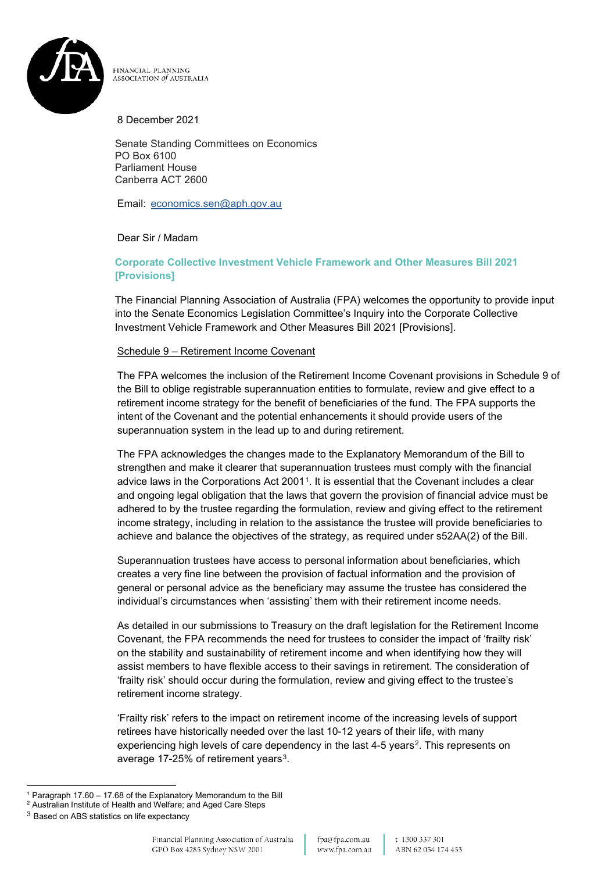

FINANCIAL PLANNING ASSOCIATION of AUSTRALIA

8 December 2021

Senate Standing Committees on Economics PO Box 6100 Parliament House Canberra ACT 2600

Email: [economics.sen@aph.gov.au](mailto:economics.sen@aph.gov.au)

Dear Sir / Madam

## **Corporate Collective Investment Vehicle Framework and Other Measures Bill 2021 [Provisions]**

The Financial Planning Association of Australia (FPA) welcomes the opportunity to provide input into the Senate Economics Legislation Committee's Inquiry into the Corporate Collective Investment Vehicle Framework and Other Measures Bill 2021 [Provisions].

## Schedule 9 – Retirement Income Covenant

The FPA welcomes the inclusion of the Retirement Income Covenant provisions in Schedule 9 of the Bill to oblige registrable superannuation entities to formulate, review and give effect to a retirement income strategy for the benefit of beneficiaries of the fund. The FPA supports the intent of the Covenant and the potential enhancements it should provide users of the superannuation system in the lead up to and during retirement.

The FPA acknowledges the changes made to the Explanatory Memorandum of the Bill to strengthen and make it clearer that superannuation trustees must comply with the financial advice laws in the Corporations Act 2001[1.](#page-0-0) It is essential that the Covenant includes a clear and ongoing legal obligation that the laws that govern the provision of financial advice must be adhered to by the trustee regarding the formulation, review and giving effect to the retirement income strategy, including in relation to the assistance the trustee will provide beneficiaries to achieve and balance the objectives of the strategy, as required under s52AA(2) of the Bill.

Superannuation trustees have access to personal information about beneficiaries, which creates a very fine line between the provision of factual information and the provision of general or personal advice as the beneficiary may assume the trustee has considered the individual's circumstances when 'assisting' them with their retirement income needs.

As detailed in our submissions to Treasury on the draft legislation for the Retirement Income Covenant, the FPA recommends the need for trustees to consider the impact of 'frailty risk' on the stability and sustainability of retirement income and when identifying how they will assist members to have flexible access to their savings in retirement. The consideration of 'frailty risk' should occur during the formulation, review and giving effect to the trustee's retirement income strategy.

'Frailty risk' refers to the impact on retirement income of the increasing levels of support retirees have historically needed over the last 10-12 years of their life, with many experiencing high levels of care dependency in the last 4-5 years<sup>2</sup>. This represents on average 17-25% of retirement years<sup>[3](#page-0-2)</sup>.

t 1300 337 301 ABN 62054174453

<span id="page-0-0"></span><sup>1</sup> Paragraph 17.60 – 17.68 of the Explanatory Memorandum to the Bill

<span id="page-0-1"></span><sup>2</sup> Australian Institute of Health and Welfare; and Aged Care Steps

<span id="page-0-2"></span><sup>3</sup> Based on ABS statistics on life expectancy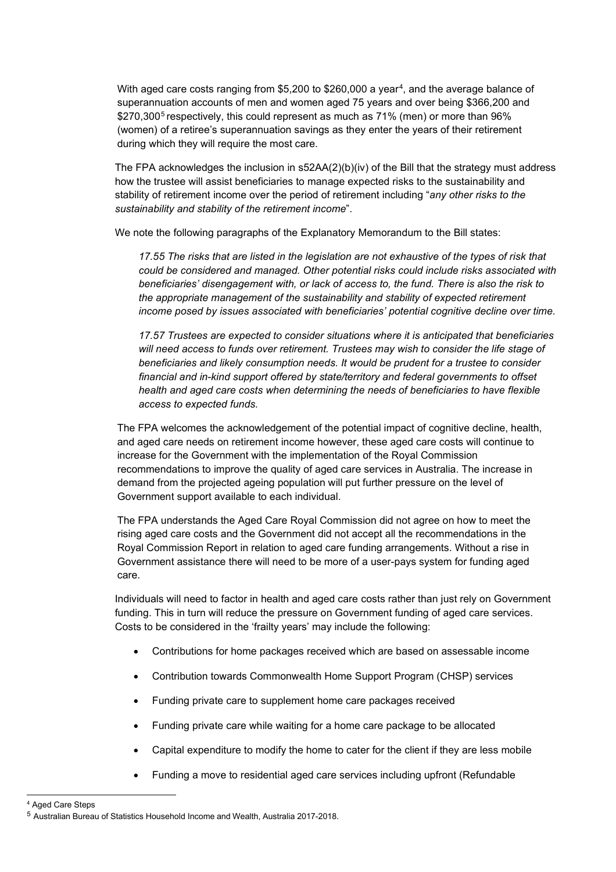With aged care costs ranging from \$5,200 to \$260,000 a year<sup>4</sup>, and the average balance of superannuation accounts of men and women aged 75 years and over being \$366,200 and \$270,300<sup>[5](#page-1-1)</sup> respectively, this could represent as much as 71% (men) or more than 96% (women) of a retiree's superannuation savings as they enter the years of their retirement during which they will require the most care.

The FPA acknowledges the inclusion in  $s52AA(2)(b)(iv)$  of the Bill that the strategy must address how the trustee will assist beneficiaries to manage expected risks to the sustainability and stability of retirement income over the period of retirement including "*any other risks to the sustainability and stability of the retirement income*".

We note the following paragraphs of the Explanatory Memorandum to the Bill states:

17.55 The risks that are listed in the legislation are not exhaustive of the types of risk that *could be considered and managed. Other potential risks could include risks associated with beneficiaries' disengagement with, or lack of access to, the fund. There is also the risk to the appropriate management of the sustainability and stability of expected retirement income posed by issues associated with beneficiaries' potential cognitive decline over time.*

*17.57 Trustees are expected to consider situations where it is anticipated that beneficiaries will need access to funds over retirement. Trustees may wish to consider the life stage of beneficiaries and likely consumption needs. It would be prudent for a trustee to consider financial and in-kind support offered by state/territory and federal governments to offset health and aged care costs when determining the needs of beneficiaries to have flexible access to expected funds.*

The FPA welcomes the acknowledgement of the potential impact of cognitive decline, health, and aged care needs on retirement income however, these aged care costs will continue to increase for the Government with the implementation of the Royal Commission recommendations to improve the quality of aged care services in Australia. The increase in demand from the projected ageing population will put further pressure on the level of Government support available to each individual.

The FPA understands the Aged Care Royal Commission did not agree on how to meet the rising aged care costs and the Government did not accept all the recommendations in the Royal Commission Report in relation to aged care funding arrangements. Without a rise in Government assistance there will need to be more of a user-pays system for funding aged care.

Individuals will need to factor in health and aged care costs rather than just rely on Government funding. This in turn will reduce the pressure on Government funding of aged care services. Costs to be considered in the 'frailty years' may include the following:

- Contributions for home packages received which are based on assessable income
- Contribution towards Commonwealth Home Support Program (CHSP) services
- Funding private care to supplement home care packages received
- Funding private care while waiting for a home care package to be allocated
- Capital expenditure to modify the home to cater for the client if they are less mobile
- Funding a move to residential aged care services including upfront (Refundable

<span id="page-1-0"></span><sup>4</sup> Aged Care Steps

<span id="page-1-1"></span><sup>5</sup> Australian Bureau of Statistics Household Income and Wealth, Australia 2017-2018.